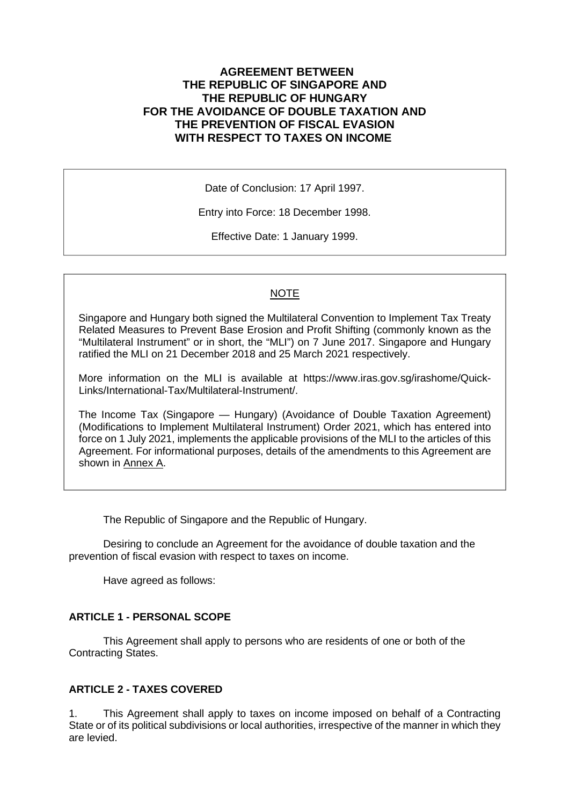## **AGREEMENT BETWEEN THE REPUBLIC OF SINGAPORE AND THE REPUBLIC OF HUNGARY FOR THE AVOIDANCE OF DOUBLE TAXATION AND THE PREVENTION OF FISCAL EVASION WITH RESPECT TO TAXES ON INCOME**

Date of Conclusion: 17 April 1997.

Entry into Force: 18 December 1998.

Effective Date: 1 January 1999.

## NOTE

Singapore and Hungary both signed the Multilateral Convention to Implement Tax Treaty Related Measures to Prevent Base Erosion and Profit Shifting (commonly known as the "Multilateral Instrument" or in short, the "MLI") on 7 June 2017. Singapore and Hungary ratified the MLI on 21 December 2018 and 25 March 2021 respectively.

More information on the MLI is available at https://www.iras.gov.sg/irashome/Quick-Links/International-Tax/Multilateral-Instrument/.

The Income Tax (Singapore — Hungary) (Avoidance of Double Taxation Agreement) (Modifications to Implement Multilateral Instrument) Order 2021, which has entered into force on 1 July 2021, implements the applicable provisions of the MLI to the articles of this Agreement. For informational purposes, details of the amendments to this Agreement are shown in Annex A.

The Republic of Singapore and the Republic of Hungary.

Desiring to conclude an Agreement for the avoidance of double taxation and the prevention of fiscal evasion with respect to taxes on income.

Have agreed as follows:

#### **ARTICLE 1 - PERSONAL SCOPE**

This Agreement shall apply to persons who are residents of one or both of the Contracting States.

#### **ARTICLE 2 - TAXES COVERED**

1. This Agreement shall apply to taxes on income imposed on behalf of a Contracting State or of its political subdivisions or local authorities, irrespective of the manner in which they are levied.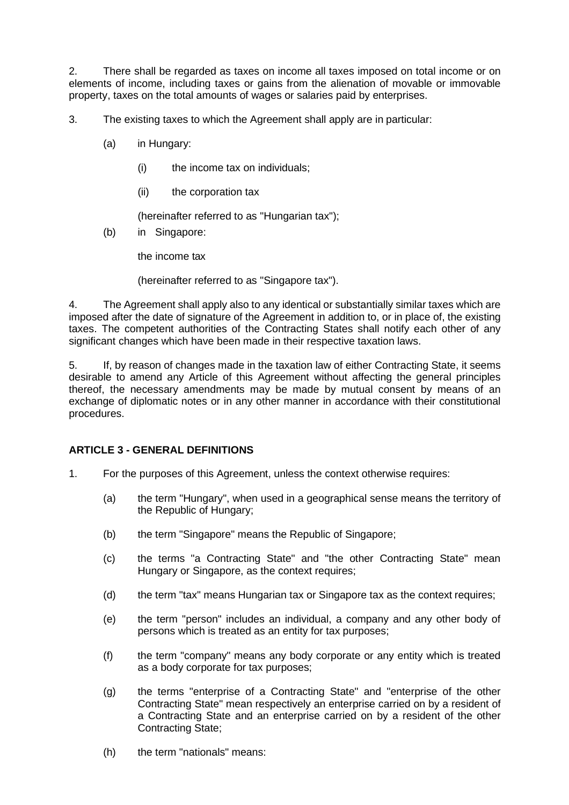2. There shall be regarded as taxes on income all taxes imposed on total income or on elements of income, including taxes or gains from the alienation of movable or immovable property, taxes on the total amounts of wages or salaries paid by enterprises.

3. The existing taxes to which the Agreement shall apply are in particular:

- (a) in Hungary:
	- (i) the income tax on individuals;
	- (ii) the corporation tax

(hereinafter referred to as "Hungarian tax");

(b) in Singapore:

the income tax

(hereinafter referred to as "Singapore tax").

4. The Agreement shall apply also to any identical or substantially similar taxes which are imposed after the date of signature of the Agreement in addition to, or in place of, the existing taxes. The competent authorities of the Contracting States shall notify each other of any significant changes which have been made in their respective taxation laws.

5. If, by reason of changes made in the taxation law of either Contracting State, it seems desirable to amend any Article of this Agreement without affecting the general principles thereof, the necessary amendments may be made by mutual consent by means of an exchange of diplomatic notes or in any other manner in accordance with their constitutional procedures.

# **ARTICLE 3 - GENERAL DEFINITIONS**

- 1. For the purposes of this Agreement, unless the context otherwise requires:
	- (a) the term "Hungary", when used in a geographical sense means the territory of the Republic of Hungary;
	- (b) the term "Singapore" means the Republic of Singapore;
	- (c) the terms "a Contracting State" and "the other Contracting State" mean Hungary or Singapore, as the context requires;
	- (d) the term "tax" means Hungarian tax or Singapore tax as the context requires;
	- (e) the term "person" includes an individual, a company and any other body of persons which is treated as an entity for tax purposes;
	- (f) the term "company" means any body corporate or any entity which is treated as a body corporate for tax purposes;
	- (g) the terms "enterprise of a Contracting State" and "enterprise of the other Contracting State" mean respectively an enterprise carried on by a resident of a Contracting State and an enterprise carried on by a resident of the other Contracting State;
	- (h) the term "nationals" means: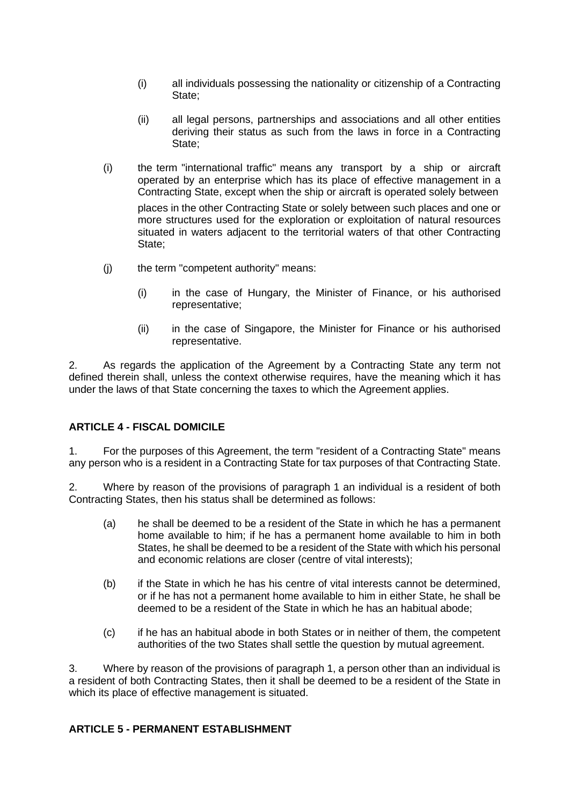- (i) all individuals possessing the nationality or citizenship of a Contracting State;
- (ii) all legal persons, partnerships and associations and all other entities deriving their status as such from the laws in force in a Contracting State;
- (i) the term "international traffic" means any transport by a ship or aircraft operated by an enterprise which has its place of effective management in a Contracting State, except when the ship or aircraft is operated solely between places in the other Contracting State or solely between such places and one or more structures used for the exploration or exploitation of natural resources situated in waters adjacent to the territorial waters of that other Contracting State;
- (j) the term "competent authority" means:
	- (i) in the case of Hungary, the Minister of Finance, or his authorised representative;
	- (ii) in the case of Singapore, the Minister for Finance or his authorised representative.

2. As regards the application of the Agreement by a Contracting State any term not defined therein shall, unless the context otherwise requires, have the meaning which it has under the laws of that State concerning the taxes to which the Agreement applies.

#### **ARTICLE 4 - FISCAL DOMICILE**

1. For the purposes of this Agreement, the term "resident of a Contracting State" means any person who is a resident in a Contracting State for tax purposes of that Contracting State.

2. Where by reason of the provisions of paragraph 1 an individual is a resident of both Contracting States, then his status shall be determined as follows:

- (a) he shall be deemed to be a resident of the State in which he has a permanent home available to him; if he has a permanent home available to him in both States, he shall be deemed to be a resident of the State with which his personal and economic relations are closer (centre of vital interests);
- (b) if the State in which he has his centre of vital interests cannot be determined, or if he has not a permanent home available to him in either State, he shall be deemed to be a resident of the State in which he has an habitual abode;
- (c) if he has an habitual abode in both States or in neither of them, the competent authorities of the two States shall settle the question by mutual agreement.

3. Where by reason of the provisions of paragraph 1, a person other than an individual is a resident of both Contracting States, then it shall be deemed to be a resident of the State in which its place of effective management is situated.

#### **ARTICLE 5 - PERMANENT ESTABLISHMENT**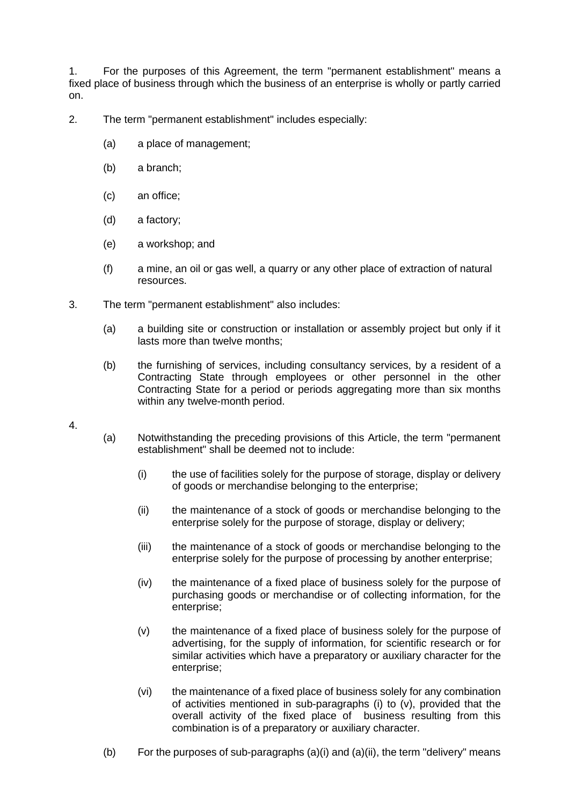1. For the purposes of this Agreement, the term "permanent establishment" means a fixed place of business through which the business of an enterprise is wholly or partly carried on.

- 2. The term "permanent establishment" includes especially:
	- (a) a place of management;
	- (b) a branch;
	- (c) an office;
	- (d) a factory;
	- (e) a workshop; and
	- (f) a mine, an oil or gas well, a quarry or any other place of extraction of natural resources.
- 3. The term "permanent establishment" also includes:
	- (a) a building site or construction or installation or assembly project but only if it lasts more than twelve months;
	- (b) the furnishing of services, including consultancy services, by a resident of a Contracting State through employees or other personnel in the other Contracting State for a period or periods aggregating more than six months within any twelve-month period.
- 4.
- (a) Notwithstanding the preceding provisions of this Article, the term "permanent establishment" shall be deemed not to include:
	- (i) the use of facilities solely for the purpose of storage, display or delivery of goods or merchandise belonging to the enterprise;
	- (ii) the maintenance of a stock of goods or merchandise belonging to the enterprise solely for the purpose of storage, display or delivery;
	- (iii) the maintenance of a stock of goods or merchandise belonging to the enterprise solely for the purpose of processing by another enterprise;
	- (iv) the maintenance of a fixed place of business solely for the purpose of purchasing goods or merchandise or of collecting information, for the enterprise;
	- (v) the maintenance of a fixed place of business solely for the purpose of advertising, for the supply of information, for scientific research or for similar activities which have a preparatory or auxiliary character for the enterprise;
	- (vi) the maintenance of a fixed place of business solely for any combination of activities mentioned in sub-paragraphs (i) to (v), provided that the overall activity of the fixed place of business resulting from this combination is of a preparatory or auxiliary character.
- (b) For the purposes of sub-paragraphs (a)(i) and (a)(ii), the term "delivery" means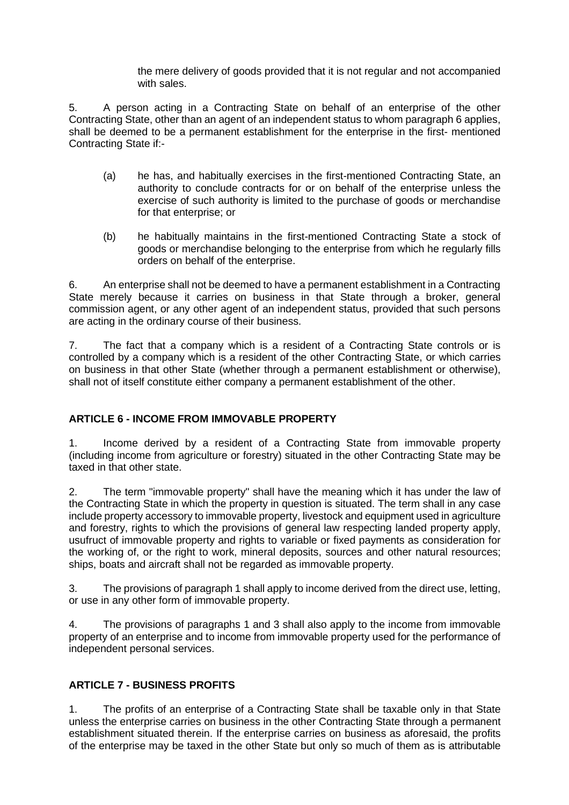the mere delivery of goods provided that it is not regular and not accompanied with sales.

5. A person acting in a Contracting State on behalf of an enterprise of the other Contracting State, other than an agent of an independent status to whom paragraph 6 applies, shall be deemed to be a permanent establishment for the enterprise in the first- mentioned Contracting State if:-

- (a) he has, and habitually exercises in the first-mentioned Contracting State, an authority to conclude contracts for or on behalf of the enterprise unless the exercise of such authority is limited to the purchase of goods or merchandise for that enterprise; or
- (b) he habitually maintains in the first-mentioned Contracting State a stock of goods or merchandise belonging to the enterprise from which he regularly fills orders on behalf of the enterprise.

6. An enterprise shall not be deemed to have a permanent establishment in a Contracting State merely because it carries on business in that State through a broker, general commission agent, or any other agent of an independent status, provided that such persons are acting in the ordinary course of their business.

7. The fact that a company which is a resident of a Contracting State controls or is controlled by a company which is a resident of the other Contracting State, or which carries on business in that other State (whether through a permanent establishment or otherwise), shall not of itself constitute either company a permanent establishment of the other.

# **ARTICLE 6 - INCOME FROM IMMOVABLE PROPERTY**

1. Income derived by a resident of a Contracting State from immovable property (including income from agriculture or forestry) situated in the other Contracting State may be taxed in that other state.

2. The term "immovable property" shall have the meaning which it has under the law of the Contracting State in which the property in question is situated. The term shall in any case include property accessory to immovable property, livestock and equipment used in agriculture and forestry, rights to which the provisions of general law respecting landed property apply, usufruct of immovable property and rights to variable or fixed payments as consideration for the working of, or the right to work, mineral deposits, sources and other natural resources; ships, boats and aircraft shall not be regarded as immovable property.

3. The provisions of paragraph 1 shall apply to income derived from the direct use, letting, or use in any other form of immovable property.

4. The provisions of paragraphs 1 and 3 shall also apply to the income from immovable property of an enterprise and to income from immovable property used for the performance of independent personal services.

# **ARTICLE 7 - BUSINESS PROFITS**

1. The profits of an enterprise of a Contracting State shall be taxable only in that State unless the enterprise carries on business in the other Contracting State through a permanent establishment situated therein. If the enterprise carries on business as aforesaid, the profits of the enterprise may be taxed in the other State but only so much of them as is attributable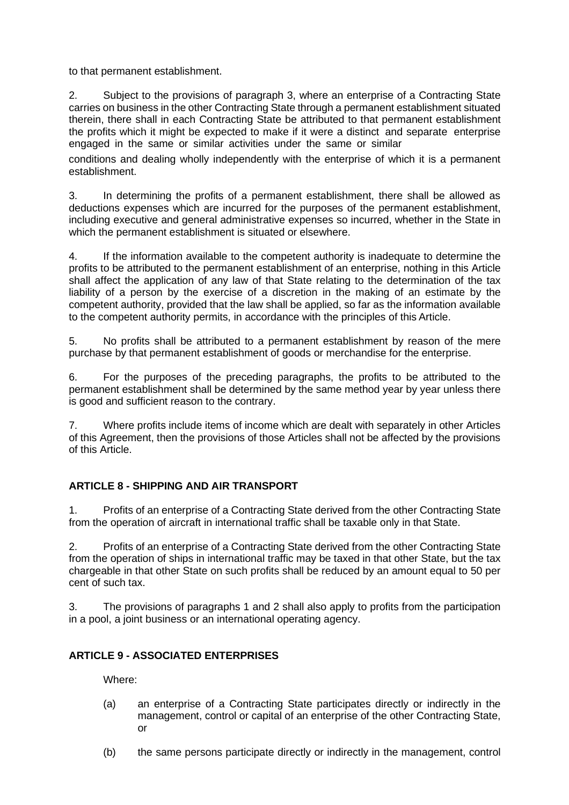to that permanent establishment.

2. Subject to the provisions of paragraph 3, where an enterprise of a Contracting State carries on business in the other Contracting State through a permanent establishment situated therein, there shall in each Contracting State be attributed to that permanent establishment the profits which it might be expected to make if it were a distinct and separate enterprise engaged in the same or similar activities under the same or similar

conditions and dealing wholly independently with the enterprise of which it is a permanent establishment.

3. In determining the profits of a permanent establishment, there shall be allowed as deductions expenses which are incurred for the purposes of the permanent establishment, including executive and general administrative expenses so incurred, whether in the State in which the permanent establishment is situated or elsewhere.

4. If the information available to the competent authority is inadequate to determine the profits to be attributed to the permanent establishment of an enterprise, nothing in this Article shall affect the application of any law of that State relating to the determination of the tax liability of a person by the exercise of a discretion in the making of an estimate by the competent authority, provided that the law shall be applied, so far as the information available to the competent authority permits, in accordance with the principles of this Article.

5. No profits shall be attributed to a permanent establishment by reason of the mere purchase by that permanent establishment of goods or merchandise for the enterprise.

6. For the purposes of the preceding paragraphs, the profits to be attributed to the permanent establishment shall be determined by the same method year by year unless there is good and sufficient reason to the contrary.

7. Where profits include items of income which are dealt with separately in other Articles of this Agreement, then the provisions of those Articles shall not be affected by the provisions of this Article.

# **ARTICLE 8 - SHIPPING AND AIR TRANSPORT**

1. Profits of an enterprise of a Contracting State derived from the other Contracting State from the operation of aircraft in international traffic shall be taxable only in that State.

2. Profits of an enterprise of a Contracting State derived from the other Contracting State from the operation of ships in international traffic may be taxed in that other State, but the tax chargeable in that other State on such profits shall be reduced by an amount equal to 50 per cent of such tax.

3. The provisions of paragraphs 1 and 2 shall also apply to profits from the participation in a pool, a joint business or an international operating agency.

# **ARTICLE 9 - ASSOCIATED ENTERPRISES**

Where:

- (a) an enterprise of a Contracting State participates directly or indirectly in the management, control or capital of an enterprise of the other Contracting State, or
- (b) the same persons participate directly or indirectly in the management, control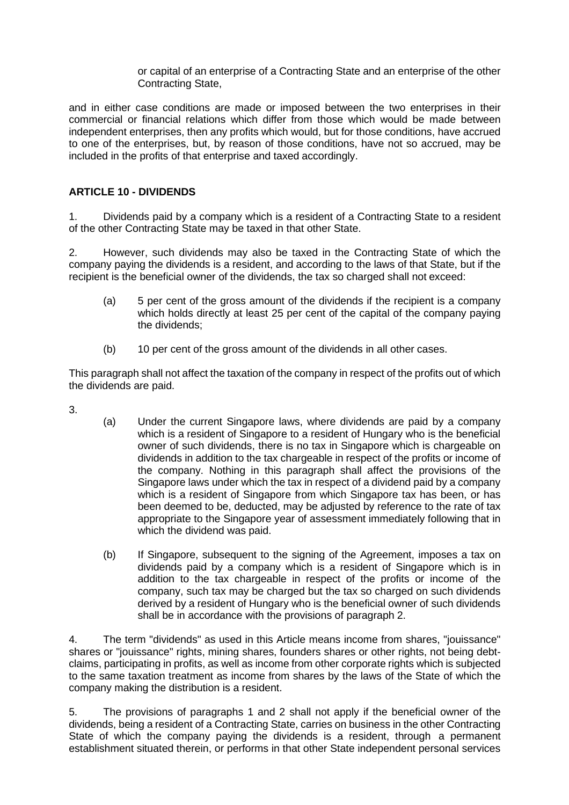or capital of an enterprise of a Contracting State and an enterprise of the other Contracting State,

and in either case conditions are made or imposed between the two enterprises in their commercial or financial relations which differ from those which would be made between independent enterprises, then any profits which would, but for those conditions, have accrued to one of the enterprises, but, by reason of those conditions, have not so accrued, may be included in the profits of that enterprise and taxed accordingly.

# **ARTICLE 10 - DIVIDENDS**

1. Dividends paid by a company which is a resident of a Contracting State to a resident of the other Contracting State may be taxed in that other State.

2. However, such dividends may also be taxed in the Contracting State of which the company paying the dividends is a resident, and according to the laws of that State, but if the recipient is the beneficial owner of the dividends, the tax so charged shall not exceed:

- (a) 5 per cent of the gross amount of the dividends if the recipient is a company which holds directly at least 25 per cent of the capital of the company paying the dividends;
- (b) 10 per cent of the gross amount of the dividends in all other cases.

This paragraph shall not affect the taxation of the company in respect of the profits out of which the dividends are paid.

- 3.
- (a) Under the current Singapore laws, where dividends are paid by a company which is a resident of Singapore to a resident of Hungary who is the beneficial owner of such dividends, there is no tax in Singapore which is chargeable on dividends in addition to the tax chargeable in respect of the profits or income of the company. Nothing in this paragraph shall affect the provisions of the Singapore laws under which the tax in respect of a dividend paid by a company which is a resident of Singapore from which Singapore tax has been, or has been deemed to be, deducted, may be adjusted by reference to the rate of tax appropriate to the Singapore year of assessment immediately following that in which the dividend was paid.
- (b) If Singapore, subsequent to the signing of the Agreement, imposes a tax on dividends paid by a company which is a resident of Singapore which is in addition to the tax chargeable in respect of the profits or income of the company, such tax may be charged but the tax so charged on such dividends derived by a resident of Hungary who is the beneficial owner of such dividends shall be in accordance with the provisions of paragraph 2.

4. The term "dividends" as used in this Article means income from shares, "jouissance" shares or "jouissance" rights, mining shares, founders shares or other rights, not being debtclaims, participating in profits, as well as income from other corporate rights which is subjected to the same taxation treatment as income from shares by the laws of the State of which the company making the distribution is a resident.

5. The provisions of paragraphs 1 and 2 shall not apply if the beneficial owner of the dividends, being a resident of a Contracting State, carries on business in the other Contracting State of which the company paying the dividends is a resident, through a permanent establishment situated therein, or performs in that other State independent personal services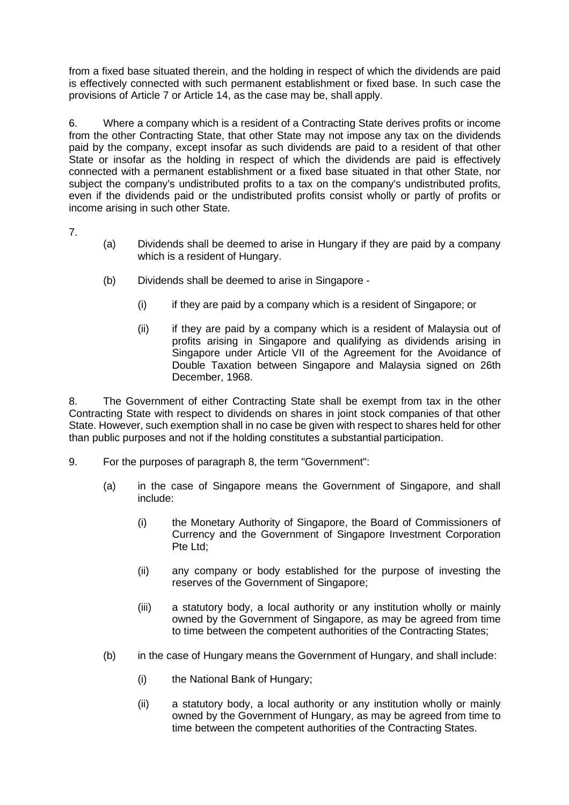from a fixed base situated therein, and the holding in respect of which the dividends are paid is effectively connected with such permanent establishment or fixed base. In such case the provisions of Article 7 or Article 14, as the case may be, shall apply.

6. Where a company which is a resident of a Contracting State derives profits or income from the other Contracting State, that other State may not impose any tax on the dividends paid by the company, except insofar as such dividends are paid to a resident of that other State or insofar as the holding in respect of which the dividends are paid is effectively connected with a permanent establishment or a fixed base situated in that other State, nor subject the company's undistributed profits to a tax on the company's undistributed profits, even if the dividends paid or the undistributed profits consist wholly or partly of profits or income arising in such other State.

7.

- (a) Dividends shall be deemed to arise in Hungary if they are paid by a company which is a resident of Hungary.
- (b) Dividends shall be deemed to arise in Singapore
	- (i) if they are paid by a company which is a resident of Singapore; or
	- (ii) if they are paid by a company which is a resident of Malaysia out of profits arising in Singapore and qualifying as dividends arising in Singapore under Article VII of the Agreement for the Avoidance of Double Taxation between Singapore and Malaysia signed on 26th December, 1968.

8. The Government of either Contracting State shall be exempt from tax in the other Contracting State with respect to dividends on shares in joint stock companies of that other State. However, such exemption shall in no case be given with respect to shares held for other than public purposes and not if the holding constitutes a substantial participation.

- 9. For the purposes of paragraph 8, the term "Government":
	- (a) in the case of Singapore means the Government of Singapore, and shall include:
		- (i) the Monetary Authority of Singapore, the Board of Commissioners of Currency and the Government of Singapore Investment Corporation Pte Ltd;
		- (ii) any company or body established for the purpose of investing the reserves of the Government of Singapore;
		- (iii) a statutory body, a local authority or any institution wholly or mainly owned by the Government of Singapore, as may be agreed from time to time between the competent authorities of the Contracting States;
	- (b) in the case of Hungary means the Government of Hungary, and shall include:
		- (i) the National Bank of Hungary;
		- (ii) a statutory body, a local authority or any institution wholly or mainly owned by the Government of Hungary, as may be agreed from time to time between the competent authorities of the Contracting States.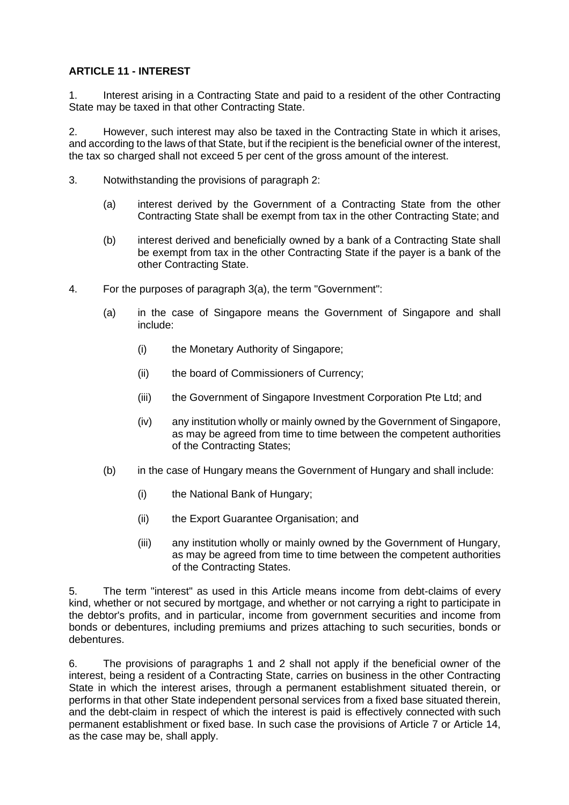# **ARTICLE 11 - INTEREST**

1. Interest arising in a Contracting State and paid to a resident of the other Contracting State may be taxed in that other Contracting State.

2. However, such interest may also be taxed in the Contracting State in which it arises, and according to the laws of that State, but if the recipient is the beneficial owner of the interest, the tax so charged shall not exceed 5 per cent of the gross amount of the interest.

- 3. Notwithstanding the provisions of paragraph 2:
	- (a) interest derived by the Government of a Contracting State from the other Contracting State shall be exempt from tax in the other Contracting State; and
	- (b) interest derived and beneficially owned by a bank of a Contracting State shall be exempt from tax in the other Contracting State if the payer is a bank of the other Contracting State.
- 4. For the purposes of paragraph 3(a), the term "Government":
	- (a) in the case of Singapore means the Government of Singapore and shall include:
		- (i) the Monetary Authority of Singapore;
		- (ii) the board of Commissioners of Currency;
		- (iii) the Government of Singapore Investment Corporation Pte Ltd; and
		- (iv) any institution wholly or mainly owned by the Government of Singapore, as may be agreed from time to time between the competent authorities of the Contracting States;
	- (b) in the case of Hungary means the Government of Hungary and shall include:
		- (i) the National Bank of Hungary;
		- (ii) the Export Guarantee Organisation; and
		- (iii) any institution wholly or mainly owned by the Government of Hungary, as may be agreed from time to time between the competent authorities of the Contracting States.

5. The term "interest" as used in this Article means income from debt-claims of every kind, whether or not secured by mortgage, and whether or not carrying a right to participate in the debtor's profits, and in particular, income from government securities and income from bonds or debentures, including premiums and prizes attaching to such securities, bonds or debentures.

6. The provisions of paragraphs 1 and 2 shall not apply if the beneficial owner of the interest, being a resident of a Contracting State, carries on business in the other Contracting State in which the interest arises, through a permanent establishment situated therein, or performs in that other State independent personal services from a fixed base situated therein, and the debt-claim in respect of which the interest is paid is effectively connected with such permanent establishment or fixed base. In such case the provisions of Article 7 or Article 14, as the case may be, shall apply.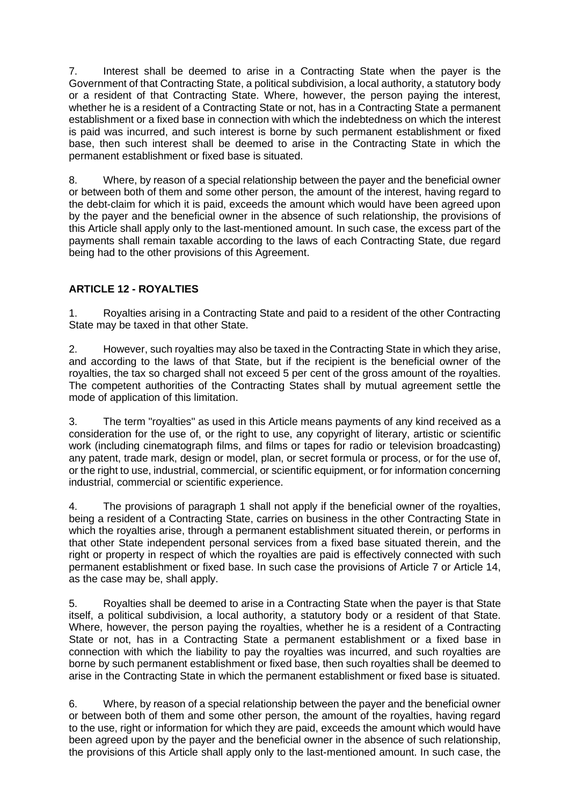7. Interest shall be deemed to arise in a Contracting State when the payer is the Government of that Contracting State, a political subdivision, a local authority, a statutory body or a resident of that Contracting State. Where, however, the person paying the interest, whether he is a resident of a Contracting State or not, has in a Contracting State a permanent establishment or a fixed base in connection with which the indebtedness on which the interest is paid was incurred, and such interest is borne by such permanent establishment or fixed base, then such interest shall be deemed to arise in the Contracting State in which the permanent establishment or fixed base is situated.

8. Where, by reason of a special relationship between the payer and the beneficial owner or between both of them and some other person, the amount of the interest, having regard to the debt-claim for which it is paid, exceeds the amount which would have been agreed upon by the payer and the beneficial owner in the absence of such relationship, the provisions of this Article shall apply only to the last-mentioned amount. In such case, the excess part of the payments shall remain taxable according to the laws of each Contracting State, due regard being had to the other provisions of this Agreement.

# **ARTICLE 12 - ROYALTIES**

1. Royalties arising in a Contracting State and paid to a resident of the other Contracting State may be taxed in that other State.

2. However, such royalties may also be taxed in the Contracting State in which they arise, and according to the laws of that State, but if the recipient is the beneficial owner of the royalties, the tax so charged shall not exceed 5 per cent of the gross amount of the royalties. The competent authorities of the Contracting States shall by mutual agreement settle the mode of application of this limitation.

3. The term "royalties" as used in this Article means payments of any kind received as a consideration for the use of, or the right to use, any copyright of literary, artistic or scientific work (including cinematograph films, and films or tapes for radio or television broadcasting) any patent, trade mark, design or model, plan, or secret formula or process, or for the use of, or the right to use, industrial, commercial, or scientific equipment, or for information concerning industrial, commercial or scientific experience.

4. The provisions of paragraph 1 shall not apply if the beneficial owner of the royalties, being a resident of a Contracting State, carries on business in the other Contracting State in which the royalties arise, through a permanent establishment situated therein, or performs in that other State independent personal services from a fixed base situated therein, and the right or property in respect of which the royalties are paid is effectively connected with such permanent establishment or fixed base. In such case the provisions of Article 7 or Article 14, as the case may be, shall apply.

5. Royalties shall be deemed to arise in a Contracting State when the payer is that State itself, a political subdivision, a local authority, a statutory body or a resident of that State. Where, however, the person paying the royalties, whether he is a resident of a Contracting State or not, has in a Contracting State a permanent establishment or a fixed base in connection with which the liability to pay the royalties was incurred, and such royalties are borne by such permanent establishment or fixed base, then such royalties shall be deemed to arise in the Contracting State in which the permanent establishment or fixed base is situated.

6. Where, by reason of a special relationship between the payer and the beneficial owner or between both of them and some other person, the amount of the royalties, having regard to the use, right or information for which they are paid, exceeds the amount which would have been agreed upon by the payer and the beneficial owner in the absence of such relationship, the provisions of this Article shall apply only to the last-mentioned amount. In such case, the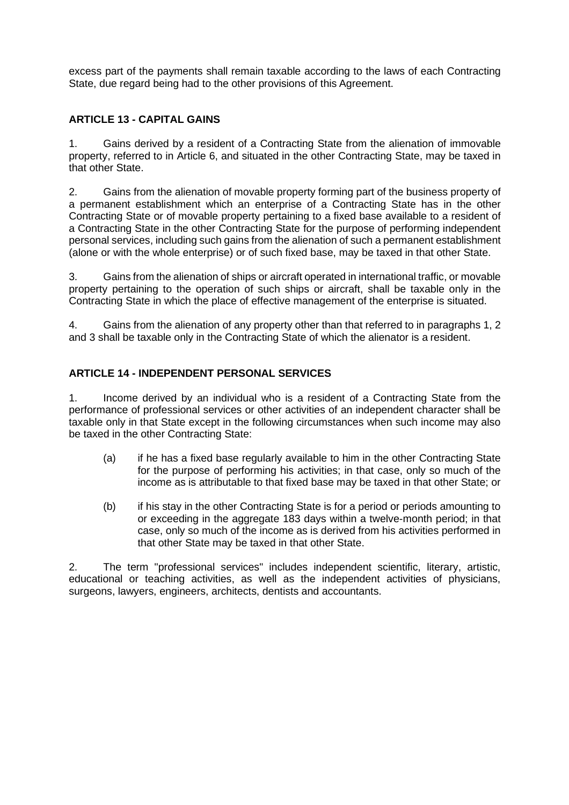excess part of the payments shall remain taxable according to the laws of each Contracting State, due regard being had to the other provisions of this Agreement.

# **ARTICLE 13 - CAPITAL GAINS**

1. Gains derived by a resident of a Contracting State from the alienation of immovable property, referred to in Article 6, and situated in the other Contracting State, may be taxed in that other State.

2. Gains from the alienation of movable property forming part of the business property of a permanent establishment which an enterprise of a Contracting State has in the other Contracting State or of movable property pertaining to a fixed base available to a resident of a Contracting State in the other Contracting State for the purpose of performing independent personal services, including such gains from the alienation of such a permanent establishment (alone or with the whole enterprise) or of such fixed base, may be taxed in that other State.

3. Gains from the alienation of ships or aircraft operated in international traffic, or movable property pertaining to the operation of such ships or aircraft, shall be taxable only in the Contracting State in which the place of effective management of the enterprise is situated.

4. Gains from the alienation of any property other than that referred to in paragraphs 1, 2 and 3 shall be taxable only in the Contracting State of which the alienator is a resident.

# **ARTICLE 14 - INDEPENDENT PERSONAL SERVICES**

1. Income derived by an individual who is a resident of a Contracting State from the performance of professional services or other activities of an independent character shall be taxable only in that State except in the following circumstances when such income may also be taxed in the other Contracting State:

- (a) if he has a fixed base regularly available to him in the other Contracting State for the purpose of performing his activities; in that case, only so much of the income as is attributable to that fixed base may be taxed in that other State; or
- (b) if his stay in the other Contracting State is for a period or periods amounting to or exceeding in the aggregate 183 days within a twelve-month period; in that case, only so much of the income as is derived from his activities performed in that other State may be taxed in that other State.

2. The term "professional services" includes independent scientific, literary, artistic, educational or teaching activities, as well as the independent activities of physicians, surgeons, lawyers, engineers, architects, dentists and accountants.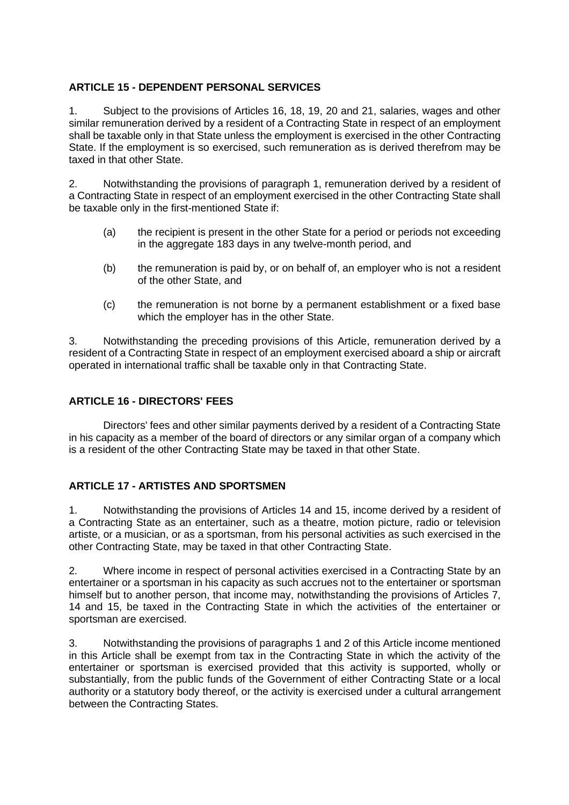## **ARTICLE 15 - DEPENDENT PERSONAL SERVICES**

1. Subject to the provisions of Articles 16, 18, 19, 20 and 21, salaries, wages and other similar remuneration derived by a resident of a Contracting State in respect of an employment shall be taxable only in that State unless the employment is exercised in the other Contracting State. If the employment is so exercised, such remuneration as is derived therefrom may be taxed in that other State.

2. Notwithstanding the provisions of paragraph 1, remuneration derived by a resident of a Contracting State in respect of an employment exercised in the other Contracting State shall be taxable only in the first-mentioned State if:

- (a) the recipient is present in the other State for a period or periods not exceeding in the aggregate 183 days in any twelve-month period, and
- (b) the remuneration is paid by, or on behalf of, an employer who is not a resident of the other State, and
- (c) the remuneration is not borne by a permanent establishment or a fixed base which the employer has in the other State.

3. Notwithstanding the preceding provisions of this Article, remuneration derived by a resident of a Contracting State in respect of an employment exercised aboard a ship or aircraft operated in international traffic shall be taxable only in that Contracting State.

## **ARTICLE 16 - DIRECTORS' FEES**

Directors' fees and other similar payments derived by a resident of a Contracting State in his capacity as a member of the board of directors or any similar organ of a company which is a resident of the other Contracting State may be taxed in that other State.

#### **ARTICLE 17 - ARTISTES AND SPORTSMEN**

1. Notwithstanding the provisions of Articles 14 and 15, income derived by a resident of a Contracting State as an entertainer, such as a theatre, motion picture, radio or television artiste, or a musician, or as a sportsman, from his personal activities as such exercised in the other Contracting State, may be taxed in that other Contracting State.

2. Where income in respect of personal activities exercised in a Contracting State by an entertainer or a sportsman in his capacity as such accrues not to the entertainer or sportsman himself but to another person, that income may, notwithstanding the provisions of Articles 7, 14 and 15, be taxed in the Contracting State in which the activities of the entertainer or sportsman are exercised.

3. Notwithstanding the provisions of paragraphs 1 and 2 of this Article income mentioned in this Article shall be exempt from tax in the Contracting State in which the activity of the entertainer or sportsman is exercised provided that this activity is supported, wholly or substantially, from the public funds of the Government of either Contracting State or a local authority or a statutory body thereof, or the activity is exercised under a cultural arrangement between the Contracting States.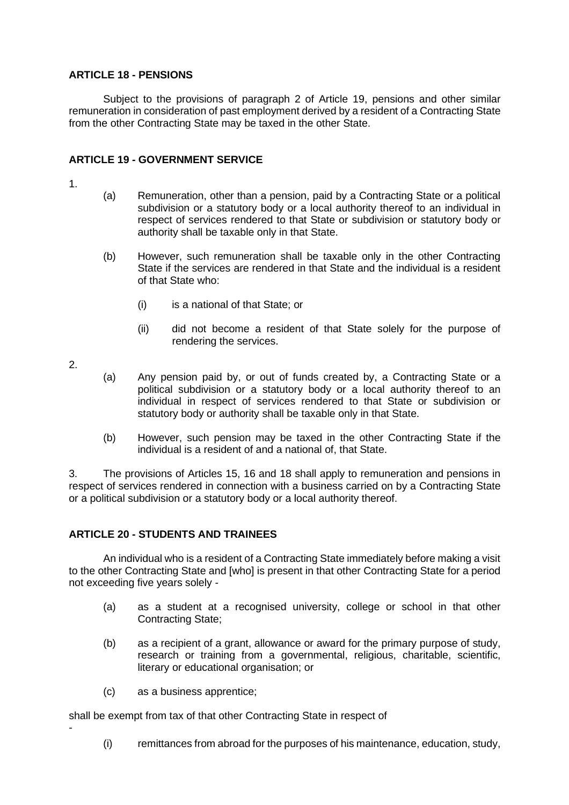#### **ARTICLE 18 - PENSIONS**

Subject to the provisions of paragraph 2 of Article 19, pensions and other similar remuneration in consideration of past employment derived by a resident of a Contracting State from the other Contracting State may be taxed in the other State.

#### **ARTICLE 19 - GOVERNMENT SERVICE**

1.

- (a) Remuneration, other than a pension, paid by a Contracting State or a political subdivision or a statutory body or a local authority thereof to an individual in respect of services rendered to that State or subdivision or statutory body or authority shall be taxable only in that State.
- (b) However, such remuneration shall be taxable only in the other Contracting State if the services are rendered in that State and the individual is a resident of that State who:
	- (i) is a national of that State; or
	- (ii) did not become a resident of that State solely for the purpose of rendering the services.

2.

-

- (a) Any pension paid by, or out of funds created by, a Contracting State or a political subdivision or a statutory body or a local authority thereof to an individual in respect of services rendered to that State or subdivision or statutory body or authority shall be taxable only in that State.
- (b) However, such pension may be taxed in the other Contracting State if the individual is a resident of and a national of, that State.

3. The provisions of Articles 15, 16 and 18 shall apply to remuneration and pensions in respect of services rendered in connection with a business carried on by a Contracting State or a political subdivision or a statutory body or a local authority thereof.

# **ARTICLE 20 - STUDENTS AND TRAINEES**

An individual who is a resident of a Contracting State immediately before making a visit to the other Contracting State and [who] is present in that other Contracting State for a period not exceeding five years solely -

- (a) as a student at a recognised university, college or school in that other Contracting State;
- (b) as a recipient of a grant, allowance or award for the primary purpose of study, research or training from a governmental, religious, charitable, scientific, literary or educational organisation; or
- (c) as a business apprentice;

shall be exempt from tax of that other Contracting State in respect of

(i) remittances from abroad for the purposes of his maintenance, education, study,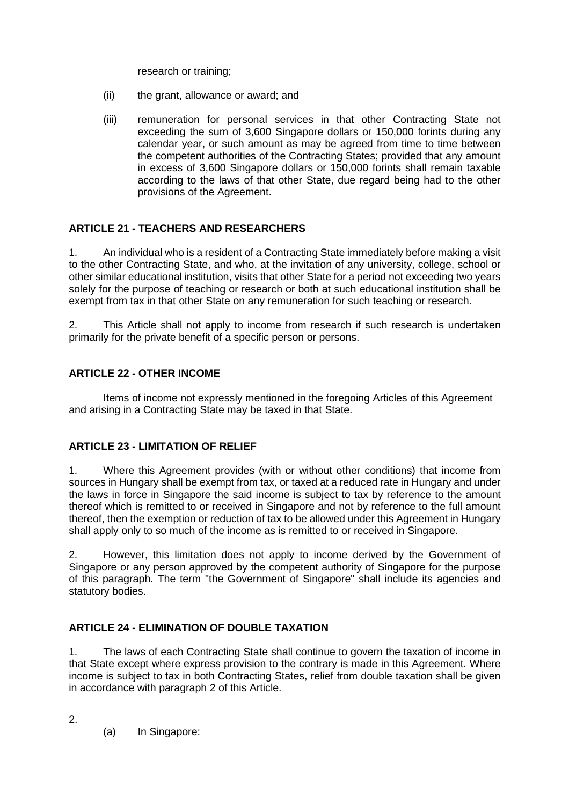research or training;

- (ii) the grant, allowance or award; and
- (iii) remuneration for personal services in that other Contracting State not exceeding the sum of 3,600 Singapore dollars or 150,000 forints during any calendar year, or such amount as may be agreed from time to time between the competent authorities of the Contracting States; provided that any amount in excess of 3,600 Singapore dollars or 150,000 forints shall remain taxable according to the laws of that other State, due regard being had to the other provisions of the Agreement.

# **ARTICLE 21 - TEACHERS AND RESEARCHERS**

1. An individual who is a resident of a Contracting State immediately before making a visit to the other Contracting State, and who, at the invitation of any university, college, school or other similar educational institution, visits that other State for a period not exceeding two years solely for the purpose of teaching or research or both at such educational institution shall be exempt from tax in that other State on any remuneration for such teaching or research.

2. This Article shall not apply to income from research if such research is undertaken primarily for the private benefit of a specific person or persons.

# **ARTICLE 22 - OTHER INCOME**

Items of income not expressly mentioned in the foregoing Articles of this Agreement and arising in a Contracting State may be taxed in that State.

# **ARTICLE 23 - LIMITATION OF RELIEF**

1. Where this Agreement provides (with or without other conditions) that income from sources in Hungary shall be exempt from tax, or taxed at a reduced rate in Hungary and under the laws in force in Singapore the said income is subject to tax by reference to the amount thereof which is remitted to or received in Singapore and not by reference to the full amount thereof, then the exemption or reduction of tax to be allowed under this Agreement in Hungary shall apply only to so much of the income as is remitted to or received in Singapore.

2. However, this limitation does not apply to income derived by the Government of Singapore or any person approved by the competent authority of Singapore for the purpose of this paragraph. The term "the Government of Singapore" shall include its agencies and statutory bodies.

# **ARTICLE 24 - ELIMINATION OF DOUBLE TAXATION**

1. The laws of each Contracting State shall continue to govern the taxation of income in that State except where express provision to the contrary is made in this Agreement. Where income is subject to tax in both Contracting States, relief from double taxation shall be given in accordance with paragraph 2 of this Article.

2.

(a) In Singapore: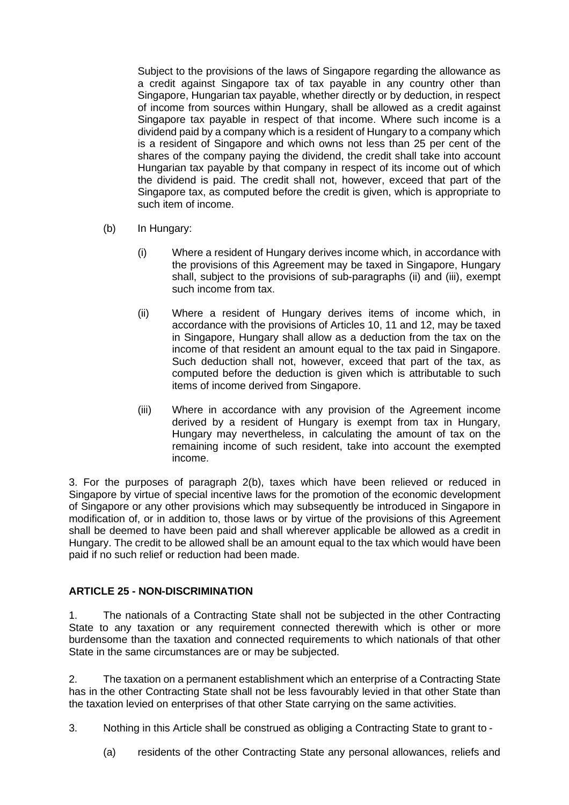Subject to the provisions of the laws of Singapore regarding the allowance as a credit against Singapore tax of tax payable in any country other than Singapore, Hungarian tax payable, whether directly or by deduction, in respect of income from sources within Hungary, shall be allowed as a credit against Singapore tax payable in respect of that income. Where such income is a dividend paid by a company which is a resident of Hungary to a company which is a resident of Singapore and which owns not less than 25 per cent of the shares of the company paying the dividend, the credit shall take into account Hungarian tax payable by that company in respect of its income out of which the dividend is paid. The credit shall not, however, exceed that part of the Singapore tax, as computed before the credit is given, which is appropriate to such item of income.

- (b) In Hungary:
	- (i) Where a resident of Hungary derives income which, in accordance with the provisions of this Agreement may be taxed in Singapore, Hungary shall, subject to the provisions of sub-paragraphs (ii) and (iii), exempt such income from tax.
	- (ii) Where a resident of Hungary derives items of income which, in accordance with the provisions of Articles 10, 11 and 12, may be taxed in Singapore, Hungary shall allow as a deduction from the tax on the income of that resident an amount equal to the tax paid in Singapore. Such deduction shall not, however, exceed that part of the tax, as computed before the deduction is given which is attributable to such items of income derived from Singapore.
	- (iii) Where in accordance with any provision of the Agreement income derived by a resident of Hungary is exempt from tax in Hungary, Hungary may nevertheless, in calculating the amount of tax on the remaining income of such resident, take into account the exempted income.

3. For the purposes of paragraph 2(b), taxes which have been relieved or reduced in Singapore by virtue of special incentive laws for the promotion of the economic development of Singapore or any other provisions which may subsequently be introduced in Singapore in modification of, or in addition to, those laws or by virtue of the provisions of this Agreement shall be deemed to have been paid and shall wherever applicable be allowed as a credit in Hungary. The credit to be allowed shall be an amount equal to the tax which would have been paid if no such relief or reduction had been made.

# **ARTICLE 25 - NON-DISCRIMINATION**

1. The nationals of a Contracting State shall not be subjected in the other Contracting State to any taxation or any requirement connected therewith which is other or more burdensome than the taxation and connected requirements to which nationals of that other State in the same circumstances are or may be subjected.

2. The taxation on a permanent establishment which an enterprise of a Contracting State has in the other Contracting State shall not be less favourably levied in that other State than the taxation levied on enterprises of that other State carrying on the same activities.

3. Nothing in this Article shall be construed as obliging a Contracting State to grant to -

(a) residents of the other Contracting State any personal allowances, reliefs and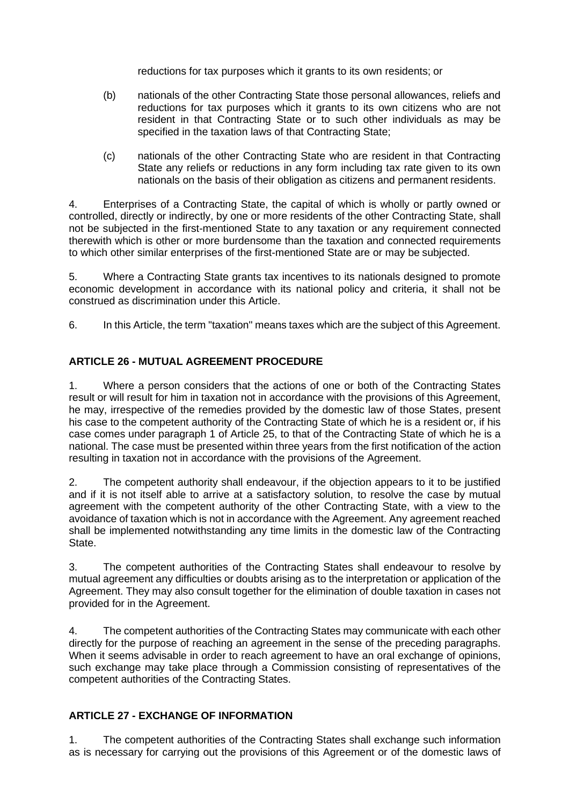reductions for tax purposes which it grants to its own residents; or

- (b) nationals of the other Contracting State those personal allowances, reliefs and reductions for tax purposes which it grants to its own citizens who are not resident in that Contracting State or to such other individuals as may be specified in the taxation laws of that Contracting State;
- (c) nationals of the other Contracting State who are resident in that Contracting State any reliefs or reductions in any form including tax rate given to its own nationals on the basis of their obligation as citizens and permanent residents.

4. Enterprises of a Contracting State, the capital of which is wholly or partly owned or controlled, directly or indirectly, by one or more residents of the other Contracting State, shall not be subjected in the first-mentioned State to any taxation or any requirement connected therewith which is other or more burdensome than the taxation and connected requirements to which other similar enterprises of the first-mentioned State are or may be subjected.

5. Where a Contracting State grants tax incentives to its nationals designed to promote economic development in accordance with its national policy and criteria, it shall not be construed as discrimination under this Article.

6. In this Article, the term "taxation" means taxes which are the subject of this Agreement.

# **ARTICLE 26 - MUTUAL AGREEMENT PROCEDURE**

1. Where a person considers that the actions of one or both of the Contracting States result or will result for him in taxation not in accordance with the provisions of this Agreement, he may, irrespective of the remedies provided by the domestic law of those States, present his case to the competent authority of the Contracting State of which he is a resident or, if his case comes under paragraph 1 of Article 25, to that of the Contracting State of which he is a national. The case must be presented within three years from the first notification of the action resulting in taxation not in accordance with the provisions of the Agreement.

2. The competent authority shall endeavour, if the objection appears to it to be justified and if it is not itself able to arrive at a satisfactory solution, to resolve the case by mutual agreement with the competent authority of the other Contracting State, with a view to the avoidance of taxation which is not in accordance with the Agreement. Any agreement reached shall be implemented notwithstanding any time limits in the domestic law of the Contracting State.

3. The competent authorities of the Contracting States shall endeavour to resolve by mutual agreement any difficulties or doubts arising as to the interpretation or application of the Agreement. They may also consult together for the elimination of double taxation in cases not provided for in the Agreement.

4. The competent authorities of the Contracting States may communicate with each other directly for the purpose of reaching an agreement in the sense of the preceding paragraphs. When it seems advisable in order to reach agreement to have an oral exchange of opinions, such exchange may take place through a Commission consisting of representatives of the competent authorities of the Contracting States.

# **ARTICLE 27 - EXCHANGE OF INFORMATION**

1. The competent authorities of the Contracting States shall exchange such information as is necessary for carrying out the provisions of this Agreement or of the domestic laws of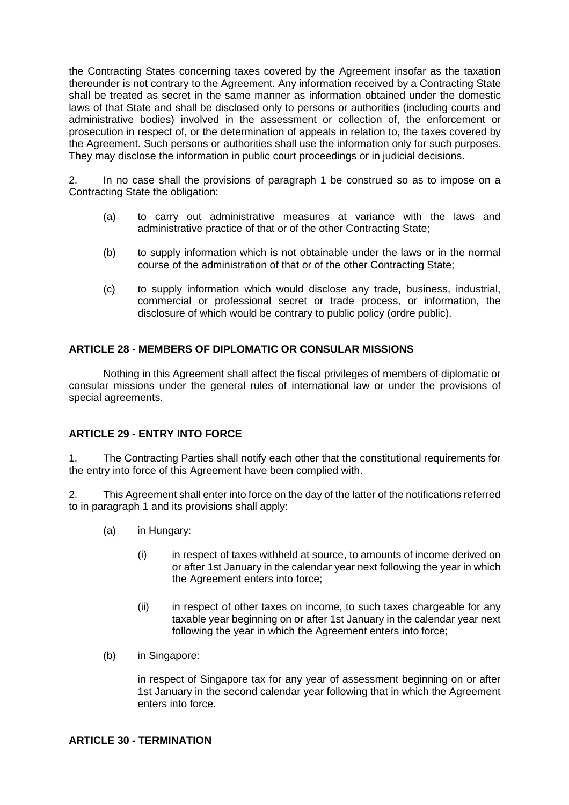the Contracting States concerning taxes covered by the Agreement insofar as the taxation thereunder is not contrary to the Agreement. Any information received by a Contracting State shall be treated as secret in the same manner as information obtained under the domestic laws of that State and shall be disclosed only to persons or authorities (including courts and administrative bodies) involved in the assessment or collection of, the enforcement or prosecution in respect of, or the determination of appeals in relation to, the taxes covered by the Agreement. Such persons or authorities shall use the information only for such purposes. They may disclose the information in public court proceedings or in judicial decisions.

2. In no case shall the provisions of paragraph 1 be construed so as to impose on a Contracting State the obligation:

- (a) to carry out administrative measures at variance with the laws and administrative practice of that or of the other Contracting State;
- (b) to supply information which is not obtainable under the laws or in the normal course of the administration of that or of the other Contracting State;
- (c) to supply information which would disclose any trade, business, industrial, commercial or professional secret or trade process, or information, the disclosure of which would be contrary to public policy (ordre public).

## **ARTICLE 28 - MEMBERS OF DIPLOMATIC OR CONSULAR MISSIONS**

Nothing in this Agreement shall affect the fiscal privileges of members of diplomatic or consular missions under the general rules of international law or under the provisions of special agreements.

#### **ARTICLE 29 - ENTRY INTO FORCE**

1. The Contracting Parties shall notify each other that the constitutional requirements for the entry into force of this Agreement have been complied with.

2. This Agreement shall enter into force on the day of the latter of the notifications referred to in paragraph 1 and its provisions shall apply:

- (a) in Hungary:
	- (i) in respect of taxes withheld at source, to amounts of income derived on or after 1st January in the calendar year next following the year in which the Agreement enters into force;
	- (ii) in respect of other taxes on income, to such taxes chargeable for any taxable year beginning on or after 1st January in the calendar year next following the year in which the Agreement enters into force;
- (b) in Singapore:

in respect of Singapore tax for any year of assessment beginning on or after 1st January in the second calendar year following that in which the Agreement enters into force.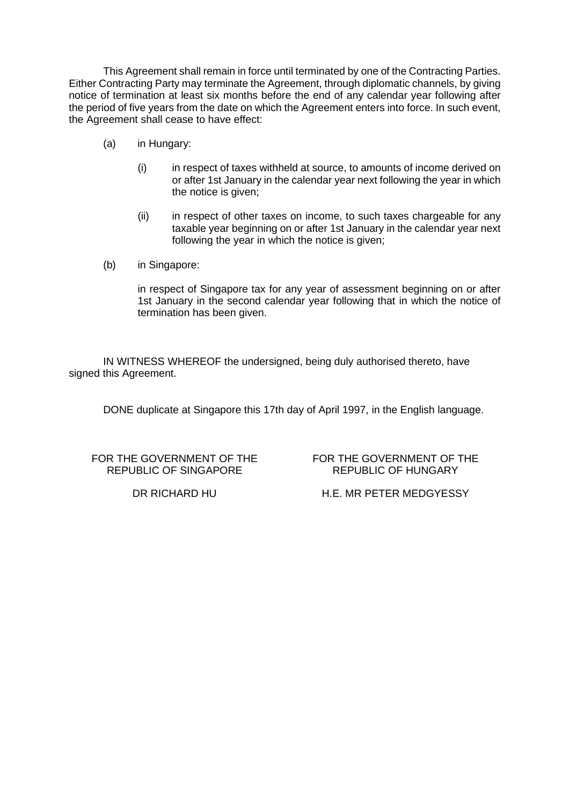This Agreement shall remain in force until terminated by one of the Contracting Parties. Either Contracting Party may terminate the Agreement, through diplomatic channels, by giving notice of termination at least six months before the end of any calendar year following after the period of five years from the date on which the Agreement enters into force. In such event, the Agreement shall cease to have effect:

- (a) in Hungary:
	- (i) in respect of taxes withheld at source, to amounts of income derived on or after 1st January in the calendar year next following the year in which the notice is given;
	- (ii) in respect of other taxes on income, to such taxes chargeable for any taxable year beginning on or after 1st January in the calendar year next following the year in which the notice is given;
- (b) in Singapore:

in respect of Singapore tax for any year of assessment beginning on or after 1st January in the second calendar year following that in which the notice of termination has been given.

IN WITNESS WHEREOF the undersigned, being duly authorised thereto, have signed this Agreement.

DONE duplicate at Singapore this 17th day of April 1997, in the English language.

FOR THE GOVERNMENT OF THE REPUBLIC OF SINGAPORE

FOR THE GOVERNMENT OF THE REPUBLIC OF HUNGARY

DR RICHARD HU H.E. MR PETER MEDGYESSY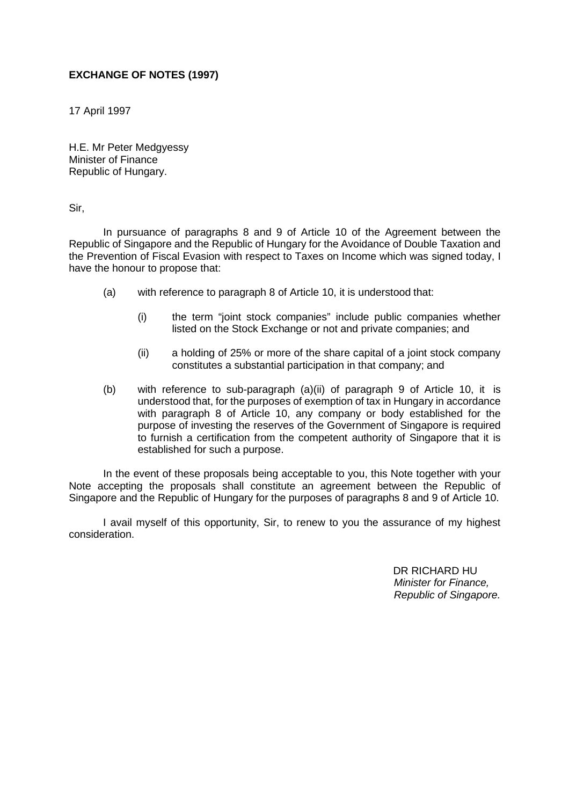## **EXCHANGE OF NOTES (1997)**

17 April 1997

H.E. Mr Peter Medgyessy Minister of Finance Republic of Hungary.

Sir,

In pursuance of paragraphs 8 and 9 of Article 10 of the Agreement between the Republic of Singapore and the Republic of Hungary for the Avoidance of Double Taxation and the Prevention of Fiscal Evasion with respect to Taxes on Income which was signed today, I have the honour to propose that:

- (a) with reference to paragraph 8 of Article 10, it is understood that:
	- (i) the term "joint stock companies" include public companies whether listed on the Stock Exchange or not and private companies; and
	- (ii) a holding of 25% or more of the share capital of a joint stock company constitutes a substantial participation in that company; and
- (b) with reference to sub-paragraph (a)(ii) of paragraph 9 of Article 10, it is understood that, for the purposes of exemption of tax in Hungary in accordance with paragraph 8 of Article 10, any company or body established for the purpose of investing the reserves of the Government of Singapore is required to furnish a certification from the competent authority of Singapore that it is established for such a purpose.

In the event of these proposals being acceptable to you, this Note together with your Note accepting the proposals shall constitute an agreement between the Republic of Singapore and the Republic of Hungary for the purposes of paragraphs 8 and 9 of Article 10.

I avail myself of this opportunity, Sir, to renew to you the assurance of my highest consideration.

> DR RICHARD HU *Minister for Finance, Republic of Singapore.*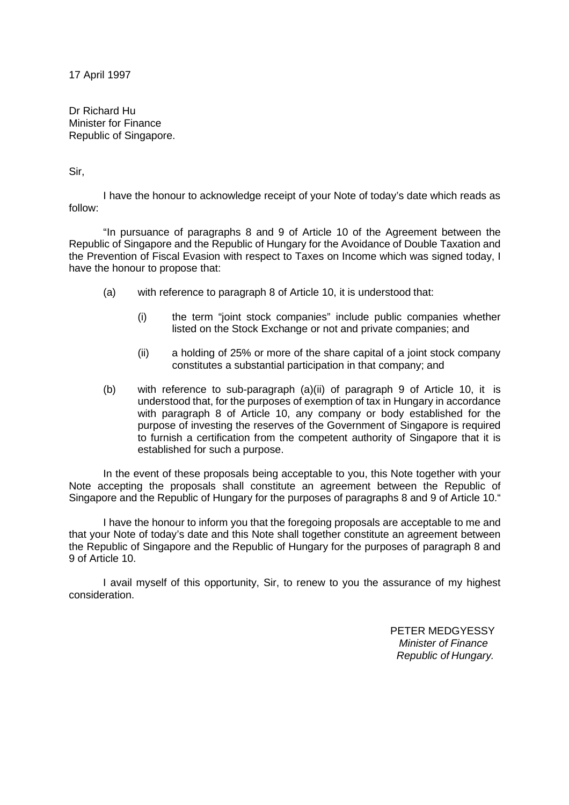Dr Richard Hu Minister for Finance Republic of Singapore.

Sir,

I have the honour to acknowledge receipt of your Note of today's date which reads as follow:

"In pursuance of paragraphs 8 and 9 of Article 10 of the Agreement between the Republic of Singapore and the Republic of Hungary for the Avoidance of Double Taxation and the Prevention of Fiscal Evasion with respect to Taxes on Income which was signed today, I have the honour to propose that:

- (a) with reference to paragraph 8 of Article 10, it is understood that:
	- (i) the term "joint stock companies" include public companies whether listed on the Stock Exchange or not and private companies; and
	- (ii) a holding of 25% or more of the share capital of a joint stock company constitutes a substantial participation in that company; and
- (b) with reference to sub-paragraph (a)(ii) of paragraph 9 of Article 10, it is understood that, for the purposes of exemption of tax in Hungary in accordance with paragraph 8 of Article 10, any company or body established for the purpose of investing the reserves of the Government of Singapore is required to furnish a certification from the competent authority of Singapore that it is established for such a purpose.

In the event of these proposals being acceptable to you, this Note together with your Note accepting the proposals shall constitute an agreement between the Republic of Singapore and the Republic of Hungary for the purposes of paragraphs 8 and 9 of Article 10."

I have the honour to inform you that the foregoing proposals are acceptable to me and that your Note of today's date and this Note shall together constitute an agreement between the Republic of Singapore and the Republic of Hungary for the purposes of paragraph 8 and 9 of Article 10.

I avail myself of this opportunity, Sir, to renew to you the assurance of my highest consideration.

> PETER MEDGYESSY *Minister of Finance Republic of Hungary.*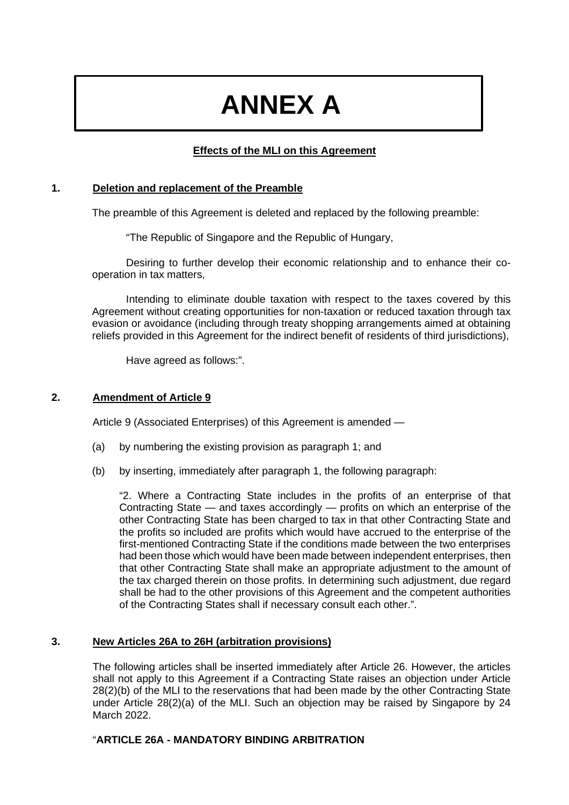# **ANNEX A**

# **Effects of the MLI on this Agreement**

#### **1. Deletion and replacement of the Preamble**

The preamble of this Agreement is deleted and replaced by the following preamble:

"The Republic of Singapore and the Republic of Hungary,

Desiring to further develop their economic relationship and to enhance their cooperation in tax matters,

Intending to eliminate double taxation with respect to the taxes covered by this Agreement without creating opportunities for non-taxation or reduced taxation through tax evasion or avoidance (including through treaty shopping arrangements aimed at obtaining reliefs provided in this Agreement for the indirect benefit of residents of third jurisdictions),

Have agreed as follows:".

#### **2. Amendment of Article 9**

Article 9 (Associated Enterprises) of this Agreement is amended —

- (a) by numbering the existing provision as paragraph 1; and
- (b) by inserting, immediately after paragraph 1, the following paragraph:

"2. Where a Contracting State includes in the profits of an enterprise of that Contracting State — and taxes accordingly — profits on which an enterprise of the other Contracting State has been charged to tax in that other Contracting State and the profits so included are profits which would have accrued to the enterprise of the first-mentioned Contracting State if the conditions made between the two enterprises had been those which would have been made between independent enterprises, then that other Contracting State shall make an appropriate adjustment to the amount of the tax charged therein on those profits. In determining such adjustment, due regard shall be had to the other provisions of this Agreement and the competent authorities of the Contracting States shall if necessary consult each other.".

#### **3. New Articles 26A to 26H (arbitration provisions)**

The following articles shall be inserted immediately after Article 26. However, the articles shall not apply to this Agreement if a Contracting State raises an objection under Article 28(2)(b) of the MLI to the reservations that had been made by the other Contracting State under Article 28(2)(a) of the MLI. Such an objection may be raised by Singapore by 24 March 2022.

#### "**ARTICLE 26A - MANDATORY BINDING ARBITRATION**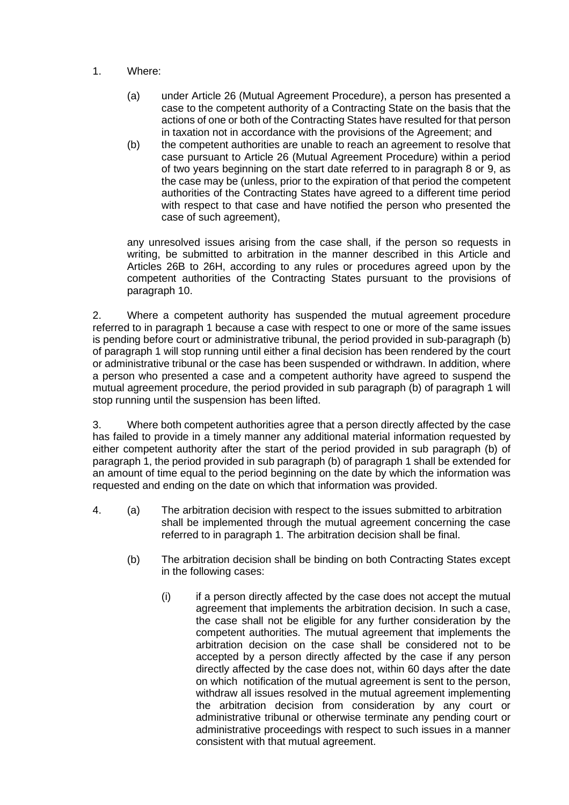- 1. Where:
	- (a) under Article 26 (Mutual Agreement Procedure), a person has presented a case to the competent authority of a Contracting State on the basis that the actions of one or both of the Contracting States have resulted for that person in taxation not in accordance with the provisions of the Agreement; and
	- (b) the competent authorities are unable to reach an agreement to resolve that case pursuant to Article 26 (Mutual Agreement Procedure) within a period of two years beginning on the start date referred to in paragraph 8 or 9, as the case may be (unless, prior to the expiration of that period the competent authorities of the Contracting States have agreed to a different time period with respect to that case and have notified the person who presented the case of such agreement),

any unresolved issues arising from the case shall, if the person so requests in writing, be submitted to arbitration in the manner described in this Article and Articles 26B to 26H, according to any rules or procedures agreed upon by the competent authorities of the Contracting States pursuant to the provisions of paragraph 10.

2. Where a competent authority has suspended the mutual agreement procedure referred to in paragraph 1 because a case with respect to one or more of the same issues is pending before court or administrative tribunal, the period provided in sub-paragraph (b) of paragraph 1 will stop running until either a final decision has been rendered by the court or administrative tribunal or the case has been suspended or withdrawn. In addition, where a person who presented a case and a competent authority have agreed to suspend the mutual agreement procedure, the period provided in sub paragraph (b) of paragraph 1 will stop running until the suspension has been lifted.

3. Where both competent authorities agree that a person directly affected by the case has failed to provide in a timely manner any additional material information requested by either competent authority after the start of the period provided in sub paragraph (b) of paragraph 1, the period provided in sub paragraph (b) of paragraph 1 shall be extended for an amount of time equal to the period beginning on the date by which the information was requested and ending on the date on which that information was provided.

- 4. (a) The arbitration decision with respect to the issues submitted to arbitration shall be implemented through the mutual agreement concerning the case referred to in paragraph 1. The arbitration decision shall be final.
	- (b) The arbitration decision shall be binding on both Contracting States except in the following cases:
		- (i) if a person directly affected by the case does not accept the mutual agreement that implements the arbitration decision. In such a case, the case shall not be eligible for any further consideration by the competent authorities. The mutual agreement that implements the arbitration decision on the case shall be considered not to be accepted by a person directly affected by the case if any person directly affected by the case does not, within 60 days after the date on which notification of the mutual agreement is sent to the person, withdraw all issues resolved in the mutual agreement implementing the arbitration decision from consideration by any court or administrative tribunal or otherwise terminate any pending court or administrative proceedings with respect to such issues in a manner consistent with that mutual agreement.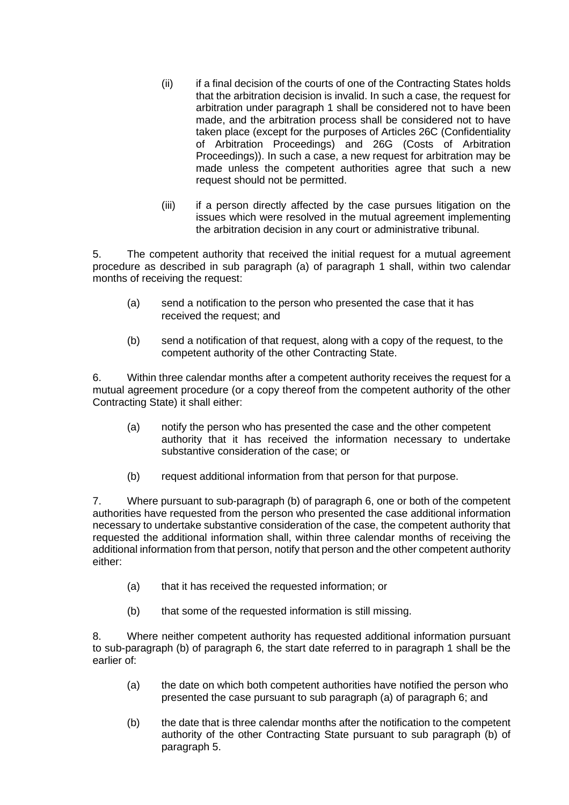- (ii) if a final decision of the courts of one of the Contracting States holds that the arbitration decision is invalid. In such a case, the request for arbitration under paragraph 1 shall be considered not to have been made, and the arbitration process shall be considered not to have taken place (except for the purposes of Articles 26C (Confidentiality of Arbitration Proceedings) and 26G (Costs of Arbitration Proceedings)). In such a case, a new request for arbitration may be made unless the competent authorities agree that such a new request should not be permitted.
- (iii) if a person directly affected by the case pursues litigation on the issues which were resolved in the mutual agreement implementing the arbitration decision in any court or administrative tribunal.

5. The competent authority that received the initial request for a mutual agreement procedure as described in sub paragraph (a) of paragraph 1 shall, within two calendar months of receiving the request:

- (a) send a notification to the person who presented the case that it has received the request; and
- (b) send a notification of that request, along with a copy of the request, to the competent authority of the other Contracting State.

6. Within three calendar months after a competent authority receives the request for a mutual agreement procedure (or a copy thereof from the competent authority of the other Contracting State) it shall either:

- (a) notify the person who has presented the case and the other competent authority that it has received the information necessary to undertake substantive consideration of the case; or
- (b) request additional information from that person for that purpose.

7. Where pursuant to sub-paragraph (b) of paragraph 6, one or both of the competent authorities have requested from the person who presented the case additional information necessary to undertake substantive consideration of the case, the competent authority that requested the additional information shall, within three calendar months of receiving the additional information from that person, notify that person and the other competent authority either:

- (a) that it has received the requested information; or
- (b) that some of the requested information is still missing.

8. Where neither competent authority has requested additional information pursuant to sub-paragraph (b) of paragraph 6, the start date referred to in paragraph 1 shall be the earlier of:

- (a) the date on which both competent authorities have notified the person who presented the case pursuant to sub paragraph (a) of paragraph 6; and
- (b) the date that is three calendar months after the notification to the competent authority of the other Contracting State pursuant to sub paragraph (b) of paragraph 5.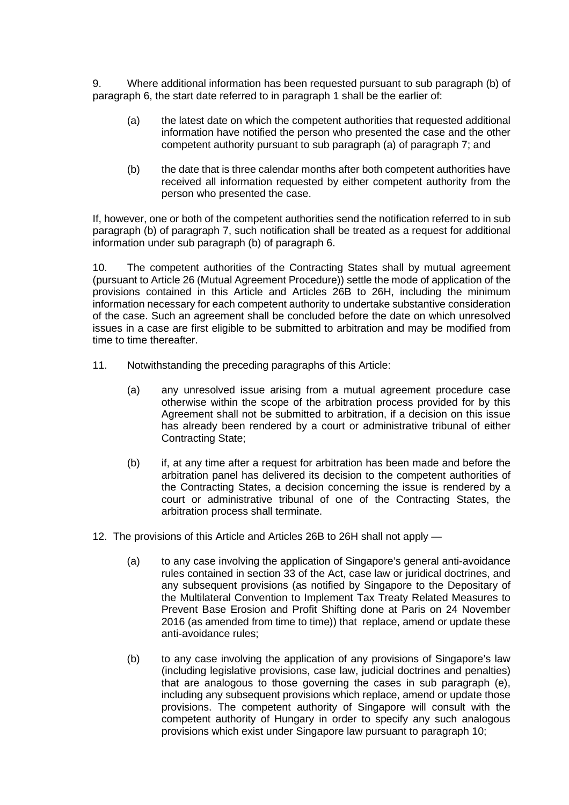9. Where additional information has been requested pursuant to sub paragraph (b) of paragraph 6, the start date referred to in paragraph 1 shall be the earlier of:

- (a) the latest date on which the competent authorities that requested additional information have notified the person who presented the case and the other competent authority pursuant to sub paragraph (a) of paragraph 7; and
- (b) the date that is three calendar months after both competent authorities have received all information requested by either competent authority from the person who presented the case.

If, however, one or both of the competent authorities send the notification referred to in sub paragraph (b) of paragraph 7, such notification shall be treated as a request for additional information under sub paragraph (b) of paragraph 6.

10. The competent authorities of the Contracting States shall by mutual agreement (pursuant to Article 26 (Mutual Agreement Procedure)) settle the mode of application of the provisions contained in this Article and Articles 26B to 26H, including the minimum information necessary for each competent authority to undertake substantive consideration of the case. Such an agreement shall be concluded before the date on which unresolved issues in a case are first eligible to be submitted to arbitration and may be modified from time to time thereafter.

- 11. Notwithstanding the preceding paragraphs of this Article:
	- (a) any unresolved issue arising from a mutual agreement procedure case otherwise within the scope of the arbitration process provided for by this Agreement shall not be submitted to arbitration, if a decision on this issue has already been rendered by a court or administrative tribunal of either Contracting State;
	- (b) if, at any time after a request for arbitration has been made and before the arbitration panel has delivered its decision to the competent authorities of the Contracting States, a decision concerning the issue is rendered by a court or administrative tribunal of one of the Contracting States, the arbitration process shall terminate.
- 12. The provisions of this Article and Articles 26B to 26H shall not apply
	- (a) to any case involving the application of Singapore's general anti-avoidance rules contained in section 33 of the Act, case law or juridical doctrines, and any subsequent provisions (as notified by Singapore to the Depositary of the Multilateral Convention to Implement Tax Treaty Related Measures to Prevent Base Erosion and Profit Shifting done at Paris on 24 November 2016 (as amended from time to time)) that replace, amend or update these anti-avoidance rules;
	- (b) to any case involving the application of any provisions of Singapore's law (including legislative provisions, case law, judicial doctrines and penalties) that are analogous to those governing the cases in sub paragraph (e), including any subsequent provisions which replace, amend or update those provisions. The competent authority of Singapore will consult with the competent authority of Hungary in order to specify any such analogous provisions which exist under Singapore law pursuant to paragraph 10;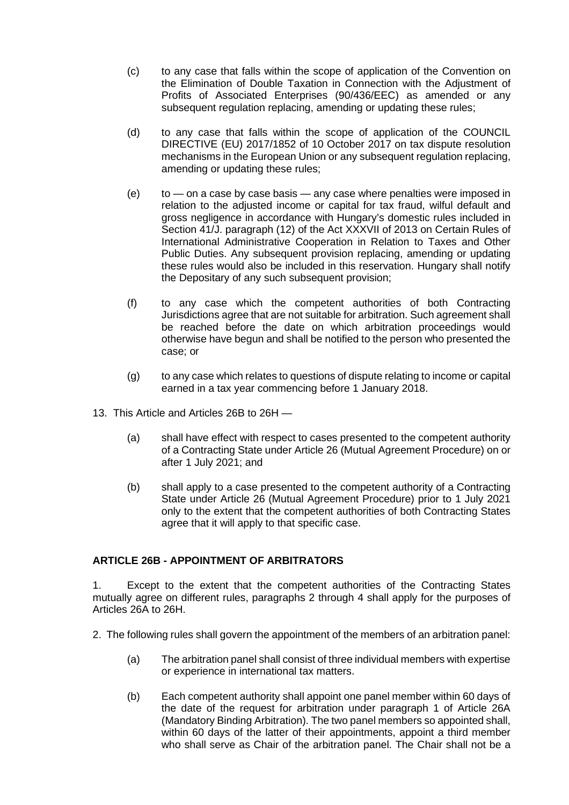- (c) to any case that falls within the scope of application of the Convention on the Elimination of Double Taxation in Connection with the Adjustment of Profits of Associated Enterprises (90/436/EEC) as amended or any subsequent regulation replacing, amending or updating these rules;
- (d) to any case that falls within the scope of application of the COUNCIL DIRECTIVE (EU) 2017/1852 of 10 October 2017 on tax dispute resolution mechanisms in the European Union or any subsequent regulation replacing, amending or updating these rules;
- $(e)$  to on a case by case basis any case where penalties were imposed in relation to the adjusted income or capital for tax fraud, wilful default and gross negligence in accordance with Hungary's domestic rules included in Section 41/J. paragraph (12) of the Act XXXVII of 2013 on Certain Rules of International Administrative Cooperation in Relation to Taxes and Other Public Duties. Any subsequent provision replacing, amending or updating these rules would also be included in this reservation. Hungary shall notify the Depositary of any such subsequent provision;
- (f) to any case which the competent authorities of both Contracting Jurisdictions agree that are not suitable for arbitration. Such agreement shall be reached before the date on which arbitration proceedings would otherwise have begun and shall be notified to the person who presented the case; or
- (g) to any case which relates to questions of dispute relating to income or capital earned in a tax year commencing before 1 January 2018.
- 13. This Article and Articles 26B to 26H
	- (a) shall have effect with respect to cases presented to the competent authority of a Contracting State under Article 26 (Mutual Agreement Procedure) on or after 1 July 2021; and
	- (b) shall apply to a case presented to the competent authority of a Contracting State under Article 26 (Mutual Agreement Procedure) prior to 1 July 2021 only to the extent that the competent authorities of both Contracting States agree that it will apply to that specific case.

#### **ARTICLE 26B - APPOINTMENT OF ARBITRATORS**

1. Except to the extent that the competent authorities of the Contracting States mutually agree on different rules, paragraphs 2 through 4 shall apply for the purposes of Articles 26A to 26H.

- 2. The following rules shall govern the appointment of the members of an arbitration panel:
	- (a) The arbitration panel shall consist of three individual members with expertise or experience in international tax matters.
	- (b) Each competent authority shall appoint one panel member within 60 days of the date of the request for arbitration under paragraph 1 of Article 26A (Mandatory Binding Arbitration). The two panel members so appointed shall, within 60 days of the latter of their appointments, appoint a third member who shall serve as Chair of the arbitration panel. The Chair shall not be a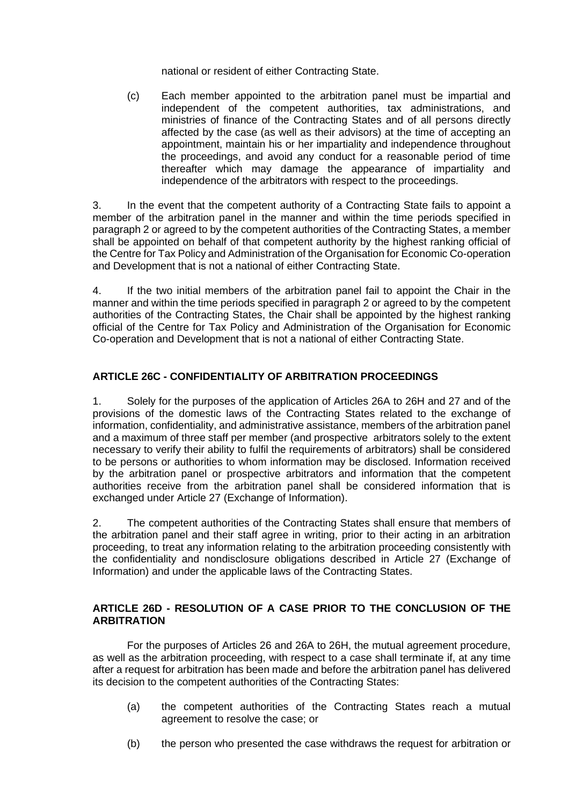national or resident of either Contracting State.

(c) Each member appointed to the arbitration panel must be impartial and independent of the competent authorities, tax administrations, and ministries of finance of the Contracting States and of all persons directly affected by the case (as well as their advisors) at the time of accepting an appointment, maintain his or her impartiality and independence throughout the proceedings, and avoid any conduct for a reasonable period of time thereafter which may damage the appearance of impartiality and independence of the arbitrators with respect to the proceedings.

3. In the event that the competent authority of a Contracting State fails to appoint a member of the arbitration panel in the manner and within the time periods specified in paragraph 2 or agreed to by the competent authorities of the Contracting States, a member shall be appointed on behalf of that competent authority by the highest ranking official of the Centre for Tax Policy and Administration of the Organisation for Economic Co-operation and Development that is not a national of either Contracting State.

4. If the two initial members of the arbitration panel fail to appoint the Chair in the manner and within the time periods specified in paragraph 2 or agreed to by the competent authorities of the Contracting States, the Chair shall be appointed by the highest ranking official of the Centre for Tax Policy and Administration of the Organisation for Economic Co-operation and Development that is not a national of either Contracting State.

#### **ARTICLE 26C - CONFIDENTIALITY OF ARBITRATION PROCEEDINGS**

1. Solely for the purposes of the application of Articles 26A to 26H and 27 and of the provisions of the domestic laws of the Contracting States related to the exchange of information, confidentiality, and administrative assistance, members of the arbitration panel and a maximum of three staff per member (and prospective arbitrators solely to the extent necessary to verify their ability to fulfil the requirements of arbitrators) shall be considered to be persons or authorities to whom information may be disclosed. Information received by the arbitration panel or prospective arbitrators and information that the competent authorities receive from the arbitration panel shall be considered information that is exchanged under Article 27 (Exchange of Information).

2. The competent authorities of the Contracting States shall ensure that members of the arbitration panel and their staff agree in writing, prior to their acting in an arbitration proceeding, to treat any information relating to the arbitration proceeding consistently with the confidentiality and nondisclosure obligations described in Article 27 (Exchange of Information) and under the applicable laws of the Contracting States.

#### **ARTICLE 26D - RESOLUTION OF A CASE PRIOR TO THE CONCLUSION OF THE ARBITRATION**

For the purposes of Articles 26 and 26A to 26H, the mutual agreement procedure, as well as the arbitration proceeding, with respect to a case shall terminate if, at any time after a request for arbitration has been made and before the arbitration panel has delivered its decision to the competent authorities of the Contracting States:

- (a) the competent authorities of the Contracting States reach a mutual agreement to resolve the case; or
- (b) the person who presented the case withdraws the request for arbitration or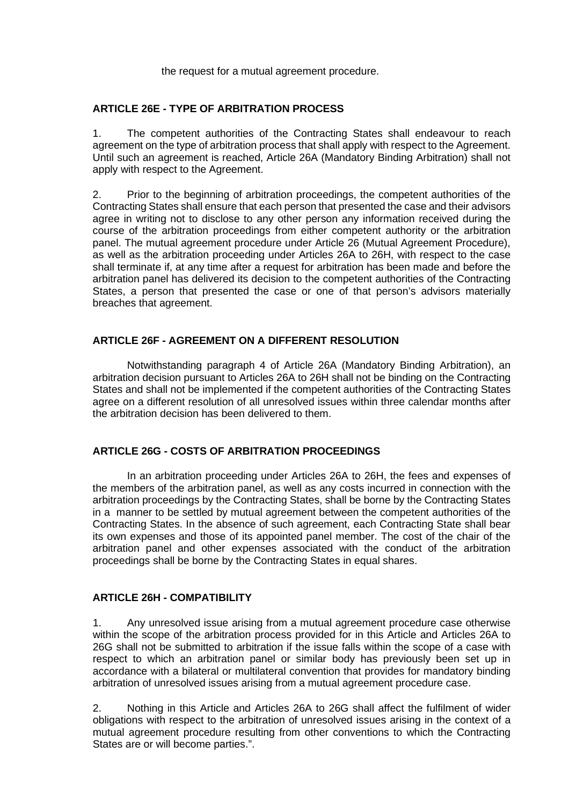the request for a mutual agreement procedure.

#### **ARTICLE 26E - TYPE OF ARBITRATION PROCESS**

1. The competent authorities of the Contracting States shall endeavour to reach agreement on the type of arbitration process that shall apply with respect to the Agreement. Until such an agreement is reached, Article 26A (Mandatory Binding Arbitration) shall not apply with respect to the Agreement.

2. Prior to the beginning of arbitration proceedings, the competent authorities of the Contracting States shall ensure that each person that presented the case and their advisors agree in writing not to disclose to any other person any information received during the course of the arbitration proceedings from either competent authority or the arbitration panel. The mutual agreement procedure under Article 26 (Mutual Agreement Procedure), as well as the arbitration proceeding under Articles 26A to 26H, with respect to the case shall terminate if, at any time after a request for arbitration has been made and before the arbitration panel has delivered its decision to the competent authorities of the Contracting States, a person that presented the case or one of that person's advisors materially breaches that agreement.

#### **ARTICLE 26F - AGREEMENT ON A DIFFERENT RESOLUTION**

Notwithstanding paragraph 4 of Article 26A (Mandatory Binding Arbitration), an arbitration decision pursuant to Articles 26A to 26H shall not be binding on the Contracting States and shall not be implemented if the competent authorities of the Contracting States agree on a different resolution of all unresolved issues within three calendar months after the arbitration decision has been delivered to them.

#### **ARTICLE 26G - COSTS OF ARBITRATION PROCEEDINGS**

In an arbitration proceeding under Articles 26A to 26H, the fees and expenses of the members of the arbitration panel, as well as any costs incurred in connection with the arbitration proceedings by the Contracting States, shall be borne by the Contracting States in a manner to be settled by mutual agreement between the competent authorities of the Contracting States. In the absence of such agreement, each Contracting State shall bear its own expenses and those of its appointed panel member. The cost of the chair of the arbitration panel and other expenses associated with the conduct of the arbitration proceedings shall be borne by the Contracting States in equal shares.

#### **ARTICLE 26H - COMPATIBILITY**

1. Any unresolved issue arising from a mutual agreement procedure case otherwise within the scope of the arbitration process provided for in this Article and Articles 26A to 26G shall not be submitted to arbitration if the issue falls within the scope of a case with respect to which an arbitration panel or similar body has previously been set up in accordance with a bilateral or multilateral convention that provides for mandatory binding arbitration of unresolved issues arising from a mutual agreement procedure case.

2. Nothing in this Article and Articles 26A to 26G shall affect the fulfilment of wider obligations with respect to the arbitration of unresolved issues arising in the context of a mutual agreement procedure resulting from other conventions to which the Contracting States are or will become parties.".